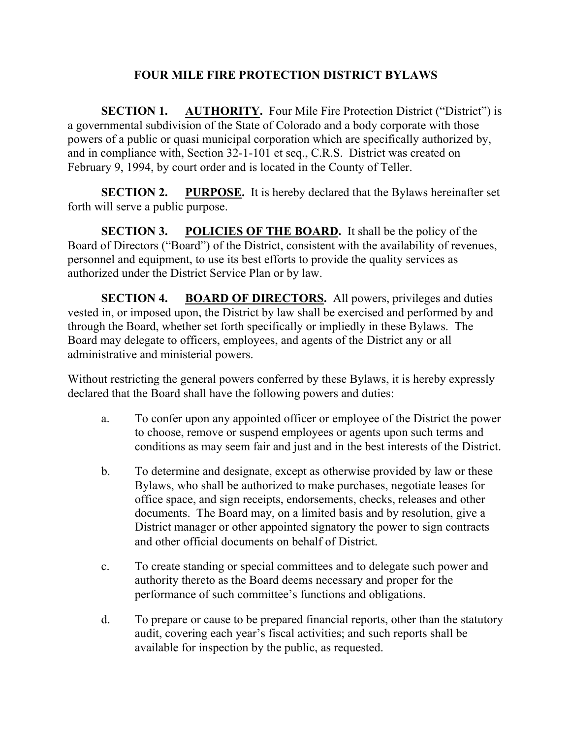## **FOUR MILE FIRE PROTECTION DISTRICT BYLAWS**

**SECTION 1. AUTHORITY.** Four Mile Fire Protection District ("District") is a governmental subdivision of the State of Colorado and a body corporate with those powers of a public or quasi municipal corporation which are specifically authorized by, and in compliance with, Section 32-1-101 et seq., C.R.S. District was created on February 9, 1994, by court order and is located in the County of Teller.

**SECTION 2. PURPOSE.** It is hereby declared that the Bylaws hereinafter set forth will serve a public purpose.

**SECTION 3. POLICIES OF THE BOARD.** It shall be the policy of the Board of Directors ("Board") of the District, consistent with the availability of revenues, personnel and equipment, to use its best efforts to provide the quality services as authorized under the District Service Plan or by law.

**SECTION 4. BOARD OF DIRECTORS.** All powers, privileges and duties vested in, or imposed upon, the District by law shall be exercised and performed by and through the Board, whether set forth specifically or impliedly in these Bylaws. The Board may delegate to officers, employees, and agents of the District any or all administrative and ministerial powers.

Without restricting the general powers conferred by these Bylaws, it is hereby expressly declared that the Board shall have the following powers and duties:

- a. To confer upon any appointed officer or employee of the District the power to choose, remove or suspend employees or agents upon such terms and conditions as may seem fair and just and in the best interests of the District.
- b. To determine and designate, except as otherwise provided by law or these Bylaws, who shall be authorized to make purchases, negotiate leases for office space, and sign receipts, endorsements, checks, releases and other documents. The Board may, on a limited basis and by resolution, give a District manager or other appointed signatory the power to sign contracts and other official documents on behalf of District.
- c. To create standing or special committees and to delegate such power and authority thereto as the Board deems necessary and proper for the performance of such committee's functions and obligations.
- d. To prepare or cause to be prepared financial reports, other than the statutory audit, covering each year's fiscal activities; and such reports shall be available for inspection by the public, as requested.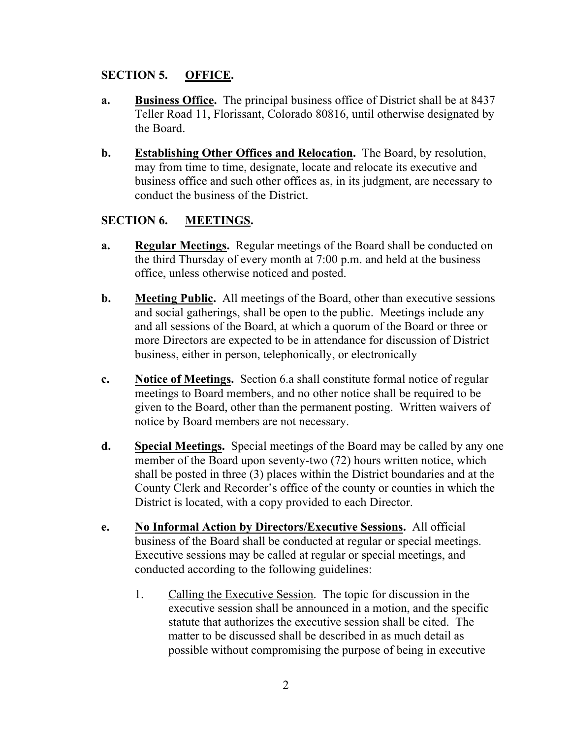## **SECTION 5. OFFICE.**

- **a. Business Office.** The principal business office of District shall be at 8437 Teller Road 11, Florissant, Colorado 80816, until otherwise designated by the Board.
- **b. Establishing Other Offices and Relocation.** The Board, by resolution, may from time to time, designate, locate and relocate its executive and business office and such other offices as, in its judgment, are necessary to conduct the business of the District.

## **SECTION 6. MEETINGS.**

- **a. Regular Meetings.** Regular meetings of the Board shall be conducted on the third Thursday of every month at 7:00 p.m. and held at the business office, unless otherwise noticed and posted.
- **b. Meeting Public.** All meetings of the Board, other than executive sessions and social gatherings, shall be open to the public. Meetings include any and all sessions of the Board, at which a quorum of the Board or three or more Directors are expected to be in attendance for discussion of District business, either in person, telephonically, or electronically
- **c. Notice of Meetings.** Section 6.a shall constitute formal notice of regular meetings to Board members, and no other notice shall be required to be given to the Board, other than the permanent posting. Written waivers of notice by Board members are not necessary.
- **d. Special Meetings.** Special meetings of the Board may be called by any one member of the Board upon seventy-two (72) hours written notice, which shall be posted in three (3) places within the District boundaries and at the County Clerk and Recorder's office of the county or counties in which the District is located, with a copy provided to each Director.
- **e. No Informal Action by Directors/Executive Sessions.** All official business of the Board shall be conducted at regular or special meetings. Executive sessions may be called at regular or special meetings, and conducted according to the following guidelines:
	- 1. Calling the Executive Session. The topic for discussion in the executive session shall be announced in a motion, and the specific statute that authorizes the executive session shall be cited. The matter to be discussed shall be described in as much detail as possible without compromising the purpose of being in executive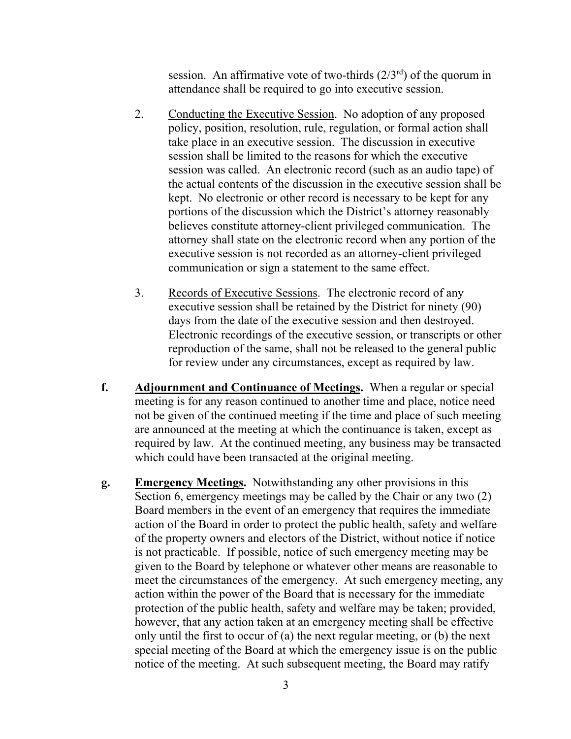session. An affirmative vote of two-thirds  $(2/3<sup>rd</sup>)$  of the quorum in attendance shall be required to go into executive session.

- 2. Conducting the Executive Session. No adoption of any proposed policy, position, resolution, rule, regulation, or formal action shall take place in an executive session. The discussion in executive session shall be limited to the reasons for which the executive session was called. An electronic record (such as an audio tape) of the actual contents of the discussion in the executive session shall be kept. No electronic or other record is necessary to be kept for any portions of the discussion which the District's attorney reasonably believes constitute attorney-client privileged communication. The attorney shall state on the electronic record when any portion of the executive session is not recorded as an attorney-client privileged communication or sign a statement to the same effect.
- 3. Records of Executive Sessions. The electronic record of any executive session shall be retained by the District for ninety (90) days from the date of the executive session and then destroyed. Electronic recordings of the executive session, or transcripts or other reproduction of the same, shall not be released to the general public for review under any circumstances, except as required by law.
- **f. Adjournment and Continuance of Meetings.** When a regular or special meeting is for any reason continued to another time and place, notice need not be given of the continued meeting if the time and place of such meeting are announced at the meeting at which the continuance is taken, except as required by law. At the continued meeting, any business may be transacted which could have been transacted at the original meeting.
- **g. Emergency Meetings.** Notwithstanding any other provisions in this Section 6, emergency meetings may be called by the Chair or any two (2) Board members in the event of an emergency that requires the immediate action of the Board in order to protect the public health, safety and welfare of the property owners and electors of the District, without notice if notice is not practicable. If possible, notice of such emergency meeting may be given to the Board by telephone or whatever other means are reasonable to meet the circumstances of the emergency. At such emergency meeting, any action within the power of the Board that is necessary for the immediate protection of the public health, safety and welfare may be taken; provided, however, that any action taken at an emergency meeting shall be effective only until the first to occur of (a) the next regular meeting, or (b) the next special meeting of the Board at which the emergency issue is on the public notice of the meeting. At such subsequent meeting, the Board may ratify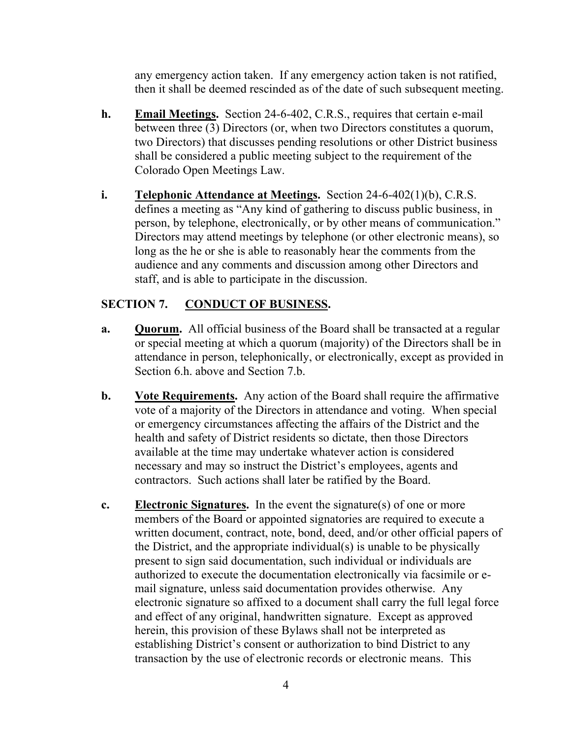any emergency action taken. If any emergency action taken is not ratified, then it shall be deemed rescinded as of the date of such subsequent meeting.

- **h. Email Meetings.** Section 24-6-402, C.R.S., requires that certain e-mail between three (3) Directors (or, when two Directors constitutes a quorum, two Directors) that discusses pending resolutions or other District business shall be considered a public meeting subject to the requirement of the Colorado Open Meetings Law.
- **i. Telephonic Attendance at Meetings.** Section 24-6-402(1)(b), C.R.S. defines a meeting as "Any kind of gathering to discuss public business, in person, by telephone, electronically, or by other means of communication." Directors may attend meetings by telephone (or other electronic means), so long as the he or she is able to reasonably hear the comments from the audience and any comments and discussion among other Directors and staff, and is able to participate in the discussion.

## **SECTION 7. CONDUCT OF BUSINESS.**

- **a. Quorum.** All official business of the Board shall be transacted at a regular or special meeting at which a quorum (majority) of the Directors shall be in attendance in person, telephonically, or electronically, except as provided in Section 6.h. above and Section 7.b.
- **b. Vote Requirements.** Any action of the Board shall require the affirmative vote of a majority of the Directors in attendance and voting. When special or emergency circumstances affecting the affairs of the District and the health and safety of District residents so dictate, then those Directors available at the time may undertake whatever action is considered necessary and may so instruct the District's employees, agents and contractors. Such actions shall later be ratified by the Board.
- **c. Electronic Signatures.** In the event the signature(s) of one or more members of the Board or appointed signatories are required to execute a written document, contract, note, bond, deed, and/or other official papers of the District, and the appropriate individual(s) is unable to be physically present to sign said documentation, such individual or individuals are authorized to execute the documentation electronically via facsimile or email signature, unless said documentation provides otherwise. Any electronic signature so affixed to a document shall carry the full legal force and effect of any original, handwritten signature. Except as approved herein, this provision of these Bylaws shall not be interpreted as establishing District's consent or authorization to bind District to any transaction by the use of electronic records or electronic means. This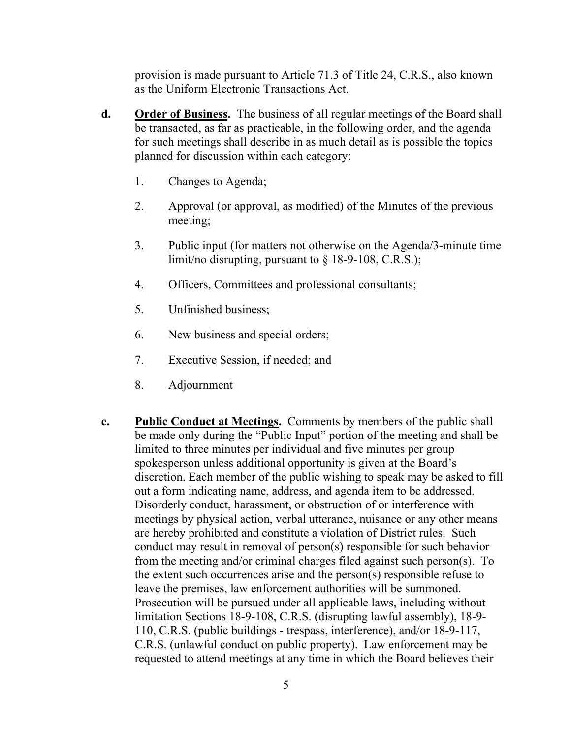provision is made pursuant to Article 71.3 of Title 24, C.R.S., also known as the Uniform Electronic Transactions Act.

- **d. Order of Business.** The business of all regular meetings of the Board shall be transacted, as far as practicable, in the following order, and the agenda for such meetings shall describe in as much detail as is possible the topics planned for discussion within each category:
	- 1. Changes to Agenda;
	- 2. Approval (or approval, as modified) of the Minutes of the previous meeting;
	- 3. Public input (for matters not otherwise on the Agenda/3-minute time limit/no disrupting, pursuant to § 18-9-108, C.R.S.);
	- 4. Officers, Committees and professional consultants;
	- 5. Unfinished business;
	- 6. New business and special orders;
	- 7. Executive Session, if needed; and
	- 8. Adjournment
- **e. Public Conduct at Meetings.** Comments by members of the public shall be made only during the "Public Input" portion of the meeting and shall be limited to three minutes per individual and five minutes per group spokesperson unless additional opportunity is given at the Board's discretion. Each member of the public wishing to speak may be asked to fill out a form indicating name, address, and agenda item to be addressed. Disorderly conduct, harassment, or obstruction of or interference with meetings by physical action, verbal utterance, nuisance or any other means are hereby prohibited and constitute a violation of District rules. Such conduct may result in removal of person(s) responsible for such behavior from the meeting and/or criminal charges filed against such person(s). To the extent such occurrences arise and the person(s) responsible refuse to leave the premises, law enforcement authorities will be summoned. Prosecution will be pursued under all applicable laws, including without limitation Sections 18-9-108, C.R.S. (disrupting lawful assembly), 18-9- 110, C.R.S. (public buildings - trespass, interference), and/or 18-9-117, C.R.S. (unlawful conduct on public property). Law enforcement may be requested to attend meetings at any time in which the Board believes their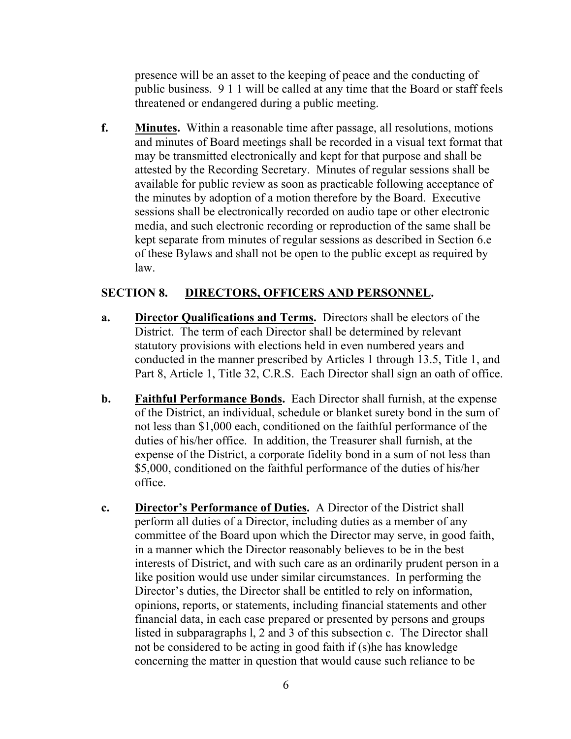presence will be an asset to the keeping of peace and the conducting of public business. 9 1 1 will be called at any time that the Board or staff feels threatened or endangered during a public meeting.

**f. Minutes.** Within a reasonable time after passage, all resolutions, motions and minutes of Board meetings shall be recorded in a visual text format that may be transmitted electronically and kept for that purpose and shall be attested by the Recording Secretary. Minutes of regular sessions shall be available for public review as soon as practicable following acceptance of the minutes by adoption of a motion therefore by the Board. Executive sessions shall be electronically recorded on audio tape or other electronic media, and such electronic recording or reproduction of the same shall be kept separate from minutes of regular sessions as described in Section 6.e of these Bylaws and shall not be open to the public except as required by law.

#### **SECTION 8. DIRECTORS, OFFICERS AND PERSONNEL.**

- **a. Director Qualifications and Terms.** Directors shall be electors of the District. The term of each Director shall be determined by relevant statutory provisions with elections held in even numbered years and conducted in the manner prescribed by Articles 1 through 13.5, Title 1, and Part 8, Article 1, Title 32, C.R.S. Each Director shall sign an oath of office.
- **b. Faithful Performance Bonds.** Each Director shall furnish, at the expense of the District, an individual, schedule or blanket surety bond in the sum of not less than \$1,000 each, conditioned on the faithful performance of the duties of his/her office. In addition, the Treasurer shall furnish, at the expense of the District, a corporate fidelity bond in a sum of not less than \$5,000, conditioned on the faithful performance of the duties of his/her office.
- **c. Director's Performance of Duties.** A Director of the District shall perform all duties of a Director, including duties as a member of any committee of the Board upon which the Director may serve, in good faith, in a manner which the Director reasonably believes to be in the best interests of District, and with such care as an ordinarily prudent person in a like position would use under similar circumstances. In performing the Director's duties, the Director shall be entitled to rely on information, opinions, reports, or statements, including financial statements and other financial data, in each case prepared or presented by persons and groups listed in subparagraphs l, 2 and 3 of this subsection c. The Director shall not be considered to be acting in good faith if (s)he has knowledge concerning the matter in question that would cause such reliance to be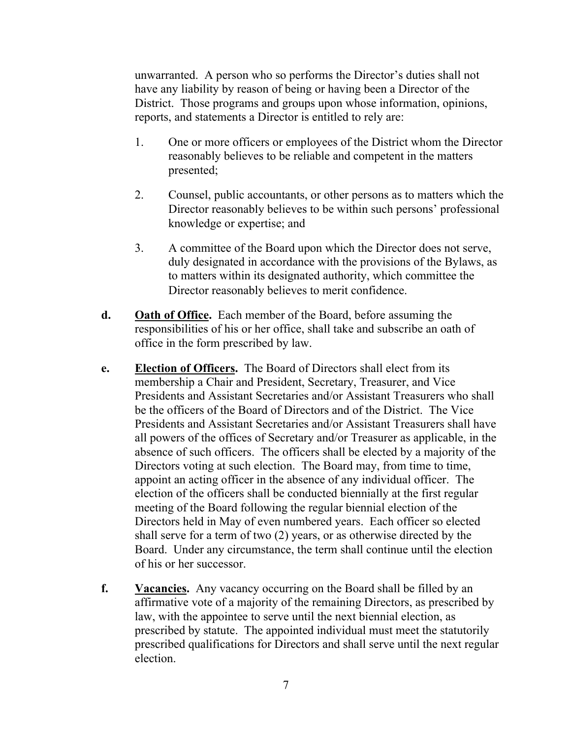unwarranted. A person who so performs the Director's duties shall not have any liability by reason of being or having been a Director of the District. Those programs and groups upon whose information, opinions, reports, and statements a Director is entitled to rely are:

- 1. One or more officers or employees of the District whom the Director reasonably believes to be reliable and competent in the matters presented;
- 2. Counsel, public accountants, or other persons as to matters which the Director reasonably believes to be within such persons' professional knowledge or expertise; and
- 3. A committee of the Board upon which the Director does not serve, duly designated in accordance with the provisions of the Bylaws, as to matters within its designated authority, which committee the Director reasonably believes to merit confidence.
- **d. Oath of Office.** Each member of the Board, before assuming the responsibilities of his or her office, shall take and subscribe an oath of office in the form prescribed by law.
- **e. Election of Officers.** The Board of Directors shall elect from its membership a Chair and President, Secretary, Treasurer, and Vice Presidents and Assistant Secretaries and/or Assistant Treasurers who shall be the officers of the Board of Directors and of the District. The Vice Presidents and Assistant Secretaries and/or Assistant Treasurers shall have all powers of the offices of Secretary and/or Treasurer as applicable, in the absence of such officers. The officers shall be elected by a majority of the Directors voting at such election. The Board may, from time to time, appoint an acting officer in the absence of any individual officer. The election of the officers shall be conducted biennially at the first regular meeting of the Board following the regular biennial election of the Directors held in May of even numbered years. Each officer so elected shall serve for a term of two (2) years, or as otherwise directed by the Board. Under any circumstance, the term shall continue until the election of his or her successor.
- **f. Vacancies.** Any vacancy occurring on the Board shall be filled by an affirmative vote of a majority of the remaining Directors, as prescribed by law, with the appointee to serve until the next biennial election, as prescribed by statute. The appointed individual must meet the statutorily prescribed qualifications for Directors and shall serve until the next regular election.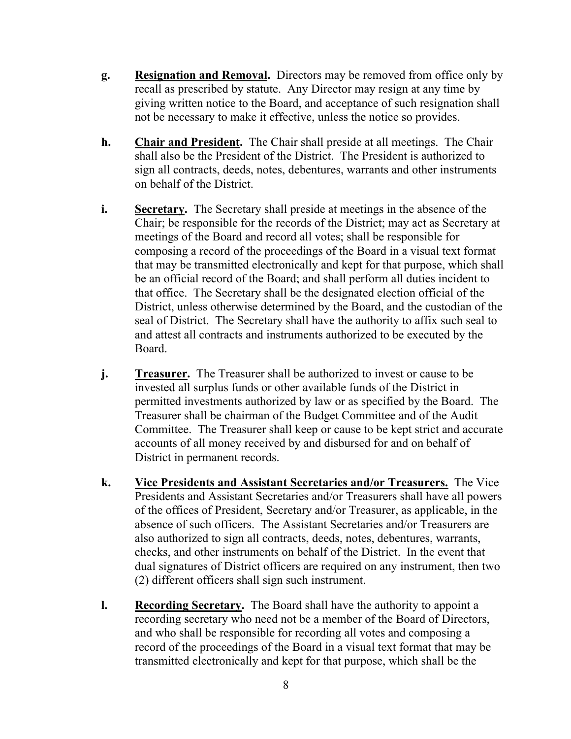- **g. Resignation and Removal.** Directors may be removed from office only by recall as prescribed by statute. Any Director may resign at any time by giving written notice to the Board, and acceptance of such resignation shall not be necessary to make it effective, unless the notice so provides.
- **h. Chair and President.** The Chair shall preside at all meetings. The Chair shall also be the President of the District. The President is authorized to sign all contracts, deeds, notes, debentures, warrants and other instruments on behalf of the District.
- **i. Secretary.** The Secretary shall preside at meetings in the absence of the Chair; be responsible for the records of the District; may act as Secretary at meetings of the Board and record all votes; shall be responsible for composing a record of the proceedings of the Board in a visual text format that may be transmitted electronically and kept for that purpose, which shall be an official record of the Board; and shall perform all duties incident to that office. The Secretary shall be the designated election official of the District, unless otherwise determined by the Board, and the custodian of the seal of District. The Secretary shall have the authority to affix such seal to and attest all contracts and instruments authorized to be executed by the Board.
- **j. Treasurer.** The Treasurer shall be authorized to invest or cause to be invested all surplus funds or other available funds of the District in permitted investments authorized by law or as specified by the Board. The Treasurer shall be chairman of the Budget Committee and of the Audit Committee. The Treasurer shall keep or cause to be kept strict and accurate accounts of all money received by and disbursed for and on behalf of District in permanent records.
- **k. Vice Presidents and Assistant Secretaries and/or Treasurers.** The Vice Presidents and Assistant Secretaries and/or Treasurers shall have all powers of the offices of President, Secretary and/or Treasurer, as applicable, in the absence of such officers. The Assistant Secretaries and/or Treasurers are also authorized to sign all contracts, deeds, notes, debentures, warrants, checks, and other instruments on behalf of the District. In the event that dual signatures of District officers are required on any instrument, then two (2) different officers shall sign such instrument.
- **l. Recording Secretary.** The Board shall have the authority to appoint a recording secretary who need not be a member of the Board of Directors, and who shall be responsible for recording all votes and composing a record of the proceedings of the Board in a visual text format that may be transmitted electronically and kept for that purpose, which shall be the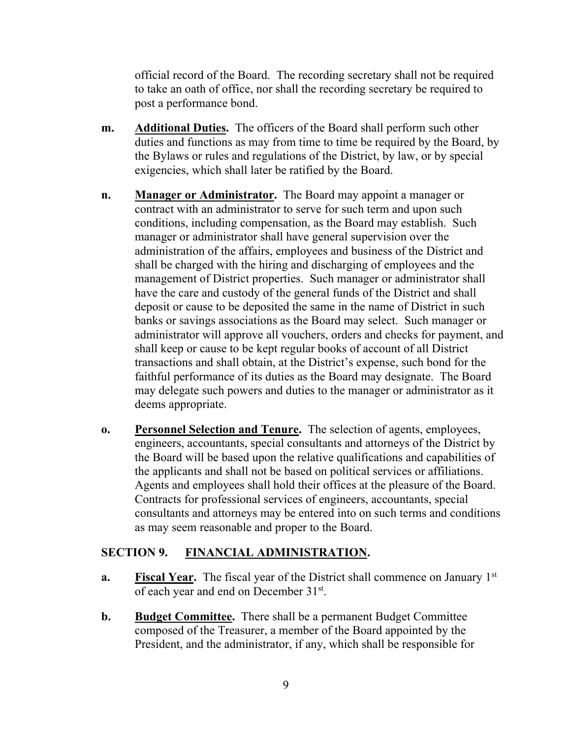official record of the Board. The recording secretary shall not be required to take an oath of office, nor shall the recording secretary be required to post a performance bond.

- **m. Additional Duties.** The officers of the Board shall perform such other duties and functions as may from time to time be required by the Board, by the Bylaws or rules and regulations of the District, by law, or by special exigencies, which shall later be ratified by the Board.
- **n. Manager or Administrator.** The Board may appoint a manager or contract with an administrator to serve for such term and upon such conditions, including compensation, as the Board may establish. Such manager or administrator shall have general supervision over the administration of the affairs, employees and business of the District and shall be charged with the hiring and discharging of employees and the management of District properties. Such manager or administrator shall have the care and custody of the general funds of the District and shall deposit or cause to be deposited the same in the name of District in such banks or savings associations as the Board may select. Such manager or administrator will approve all vouchers, orders and checks for payment, and shall keep or cause to be kept regular books of account of all District transactions and shall obtain, at the District's expense, such bond for the faithful performance of its duties as the Board may designate. The Board may delegate such powers and duties to the manager or administrator as it deems appropriate.
- **o. Personnel Selection and Tenure.** The selection of agents, employees, engineers, accountants, special consultants and attorneys of the District by the Board will be based upon the relative qualifications and capabilities of the applicants and shall not be based on political services or affiliations. Agents and employees shall hold their offices at the pleasure of the Board. Contracts for professional services of engineers, accountants, special consultants and attorneys may be entered into on such terms and conditions as may seem reasonable and proper to the Board.

#### **SECTION 9. FINANCIAL ADMINISTRATION.**

- **a. Fiscal Year.** The fiscal year of the District shall commence on January 1<sup>st</sup> of each year and end on December 31st.
- **b. Budget Committee.** There shall be a permanent Budget Committee composed of the Treasurer, a member of the Board appointed by the President, and the administrator, if any, which shall be responsible for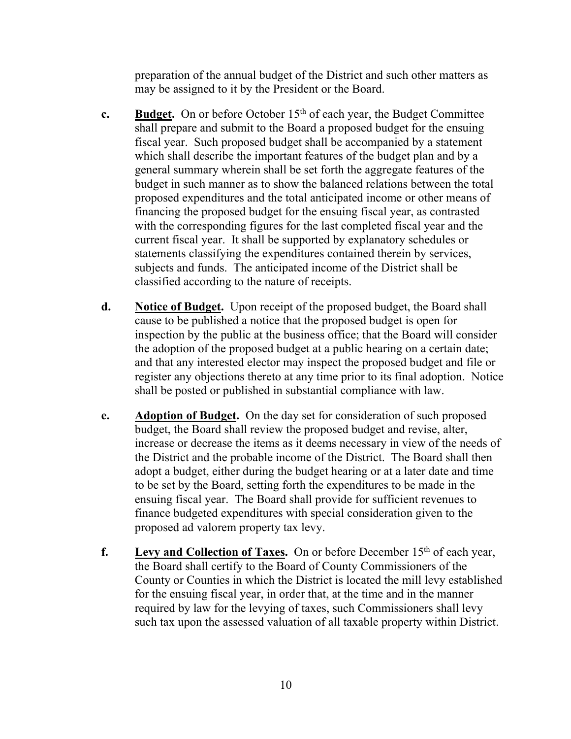preparation of the annual budget of the District and such other matters as may be assigned to it by the President or the Board.

- **c. Budget.** On or before October  $15<sup>th</sup>$  of each year, the Budget Committee shall prepare and submit to the Board a proposed budget for the ensuing fiscal year. Such proposed budget shall be accompanied by a statement which shall describe the important features of the budget plan and by a general summary wherein shall be set forth the aggregate features of the budget in such manner as to show the balanced relations between the total proposed expenditures and the total anticipated income or other means of financing the proposed budget for the ensuing fiscal year, as contrasted with the corresponding figures for the last completed fiscal year and the current fiscal year. It shall be supported by explanatory schedules or statements classifying the expenditures contained therein by services, subjects and funds. The anticipated income of the District shall be classified according to the nature of receipts.
- **d. Notice of Budget.** Upon receipt of the proposed budget, the Board shall cause to be published a notice that the proposed budget is open for inspection by the public at the business office; that the Board will consider the adoption of the proposed budget at a public hearing on a certain date; and that any interested elector may inspect the proposed budget and file or register any objections thereto at any time prior to its final adoption. Notice shall be posted or published in substantial compliance with law.
- **e. Adoption of Budget.** On the day set for consideration of such proposed budget, the Board shall review the proposed budget and revise, alter, increase or decrease the items as it deems necessary in view of the needs of the District and the probable income of the District. The Board shall then adopt a budget, either during the budget hearing or at a later date and time to be set by the Board, setting forth the expenditures to be made in the ensuing fiscal year. The Board shall provide for sufficient revenues to finance budgeted expenditures with special consideration given to the proposed ad valorem property tax levy.
- **f.** Levy and Collection of Taxes. On or before December 15<sup>th</sup> of each year, the Board shall certify to the Board of County Commissioners of the County or Counties in which the District is located the mill levy established for the ensuing fiscal year, in order that, at the time and in the manner required by law for the levying of taxes, such Commissioners shall levy such tax upon the assessed valuation of all taxable property within District.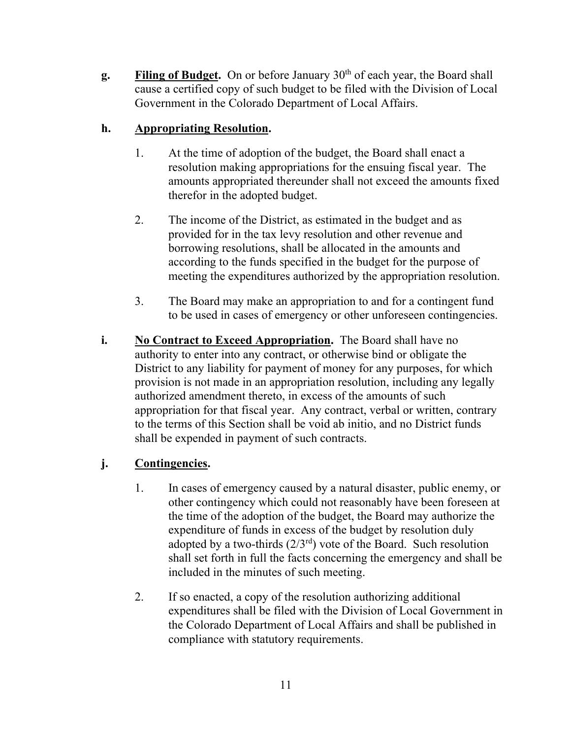**g. Filing of Budget.** On or before January 30<sup>th</sup> of each year, the Board shall cause a certified copy of such budget to be filed with the Division of Local Government in the Colorado Department of Local Affairs.

## **h. Appropriating Resolution.**

- 1. At the time of adoption of the budget, the Board shall enact a resolution making appropriations for the ensuing fiscal year. The amounts appropriated thereunder shall not exceed the amounts fixed therefor in the adopted budget.
- 2. The income of the District, as estimated in the budget and as provided for in the tax levy resolution and other revenue and borrowing resolutions, shall be allocated in the amounts and according to the funds specified in the budget for the purpose of meeting the expenditures authorized by the appropriation resolution.
- 3. The Board may make an appropriation to and for a contingent fund to be used in cases of emergency or other unforeseen contingencies.
- **i. No Contract to Exceed Appropriation.** The Board shall have no authority to enter into any contract, or otherwise bind or obligate the District to any liability for payment of money for any purposes, for which provision is not made in an appropriation resolution, including any legally authorized amendment thereto, in excess of the amounts of such appropriation for that fiscal year. Any contract, verbal or written, contrary to the terms of this Section shall be void ab initio, and no District funds shall be expended in payment of such contracts.

# **j. Contingencies.**

- 1. In cases of emergency caused by a natural disaster, public enemy, or other contingency which could not reasonably have been foreseen at the time of the adoption of the budget, the Board may authorize the expenditure of funds in excess of the budget by resolution duly adopted by a two-thirds  $(2/3<sup>rd</sup>)$  vote of the Board. Such resolution shall set forth in full the facts concerning the emergency and shall be included in the minutes of such meeting.
- 2. If so enacted, a copy of the resolution authorizing additional expenditures shall be filed with the Division of Local Government in the Colorado Department of Local Affairs and shall be published in compliance with statutory requirements.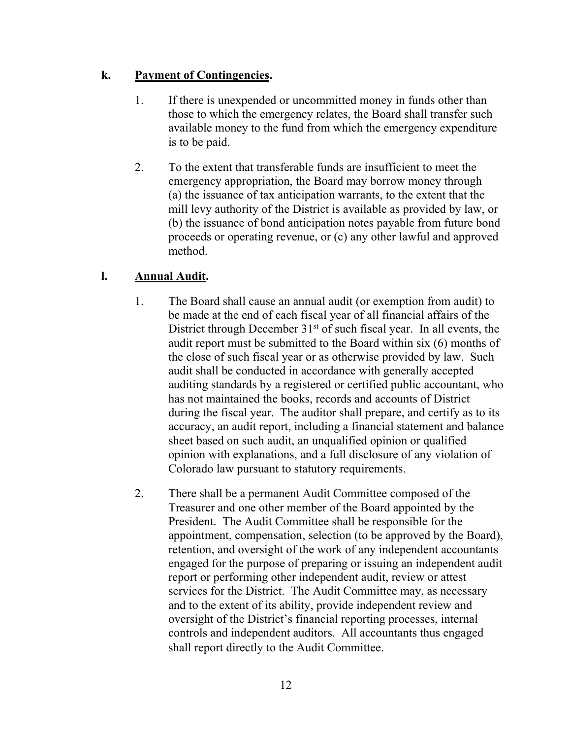## **k. Payment of Contingencies.**

- 1. If there is unexpended or uncommitted money in funds other than those to which the emergency relates, the Board shall transfer such available money to the fund from which the emergency expenditure is to be paid.
- 2. To the extent that transferable funds are insufficient to meet the emergency appropriation, the Board may borrow money through (a) the issuance of tax anticipation warrants, to the extent that the mill levy authority of the District is available as provided by law, or (b) the issuance of bond anticipation notes payable from future bond proceeds or operating revenue, or (c) any other lawful and approved method.

## **l. Annual Audit.**

- 1. The Board shall cause an annual audit (or exemption from audit) to be made at the end of each fiscal year of all financial affairs of the District through December  $31<sup>st</sup>$  of such fiscal year. In all events, the audit report must be submitted to the Board within six (6) months of the close of such fiscal year or as otherwise provided by law. Such audit shall be conducted in accordance with generally accepted auditing standards by a registered or certified public accountant, who has not maintained the books, records and accounts of District during the fiscal year. The auditor shall prepare, and certify as to its accuracy, an audit report, including a financial statement and balance sheet based on such audit, an unqualified opinion or qualified opinion with explanations, and a full disclosure of any violation of Colorado law pursuant to statutory requirements.
- 2. There shall be a permanent Audit Committee composed of the Treasurer and one other member of the Board appointed by the President. The Audit Committee shall be responsible for the appointment, compensation, selection (to be approved by the Board), retention, and oversight of the work of any independent accountants engaged for the purpose of preparing or issuing an independent audit report or performing other independent audit, review or attest services for the District. The Audit Committee may, as necessary and to the extent of its ability, provide independent review and oversight of the District's financial reporting processes, internal controls and independent auditors. All accountants thus engaged shall report directly to the Audit Committee.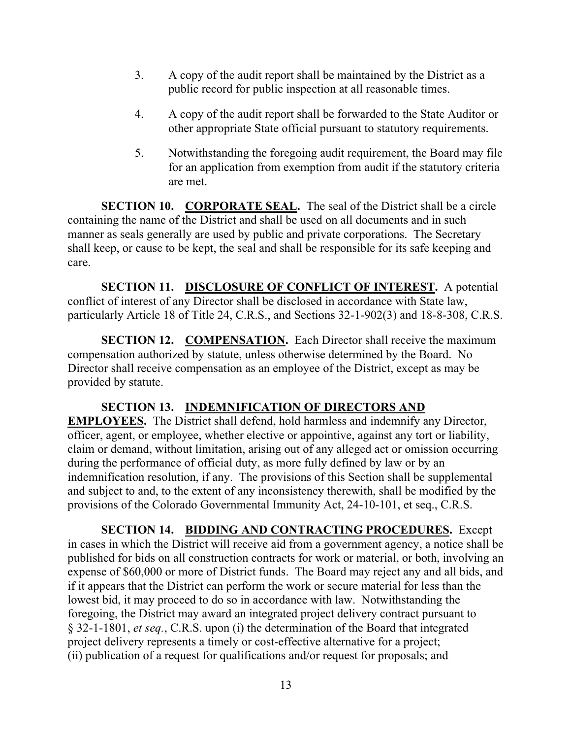- 3. A copy of the audit report shall be maintained by the District as a public record for public inspection at all reasonable times.
- 4. A copy of the audit report shall be forwarded to the State Auditor or other appropriate State official pursuant to statutory requirements.
- 5. Notwithstanding the foregoing audit requirement, the Board may file for an application from exemption from audit if the statutory criteria are met.

**SECTION 10. CORPORATE SEAL.** The seal of the District shall be a circle containing the name of the District and shall be used on all documents and in such manner as seals generally are used by public and private corporations. The Secretary shall keep, or cause to be kept, the seal and shall be responsible for its safe keeping and care.

**SECTION 11. DISCLOSURE OF CONFLICT OF INTEREST.** A potential conflict of interest of any Director shall be disclosed in accordance with State law, particularly Article 18 of Title 24, C.R.S., and Sections 32-1-902(3) and 18-8-308, C.R.S.

**SECTION 12. COMPENSATION.** Each Director shall receive the maximum compensation authorized by statute, unless otherwise determined by the Board. No Director shall receive compensation as an employee of the District, except as may be provided by statute.

#### **SECTION 13. INDEMNIFICATION OF DIRECTORS AND**

**EMPLOYEES.** The District shall defend, hold harmless and indemnify any Director, officer, agent, or employee, whether elective or appointive, against any tort or liability, claim or demand, without limitation, arising out of any alleged act or omission occurring during the performance of official duty, as more fully defined by law or by an indemnification resolution, if any. The provisions of this Section shall be supplemental and subject to and, to the extent of any inconsistency therewith, shall be modified by the provisions of the Colorado Governmental Immunity Act, 24-10-101, et seq., C.R.S.

**SECTION 14. BIDDING AND CONTRACTING PROCEDURES.** Except in cases in which the District will receive aid from a government agency, a notice shall be published for bids on all construction contracts for work or material, or both, involving an expense of \$60,000 or more of District funds. The Board may reject any and all bids, and if it appears that the District can perform the work or secure material for less than the lowest bid, it may proceed to do so in accordance with law. Notwithstanding the foregoing, the District may award an integrated project delivery contract pursuant to § 32-1-1801, *et seq.*, C.R.S. upon (i) the determination of the Board that integrated project delivery represents a timely or cost-effective alternative for a project; (ii) publication of a request for qualifications and/or request for proposals; and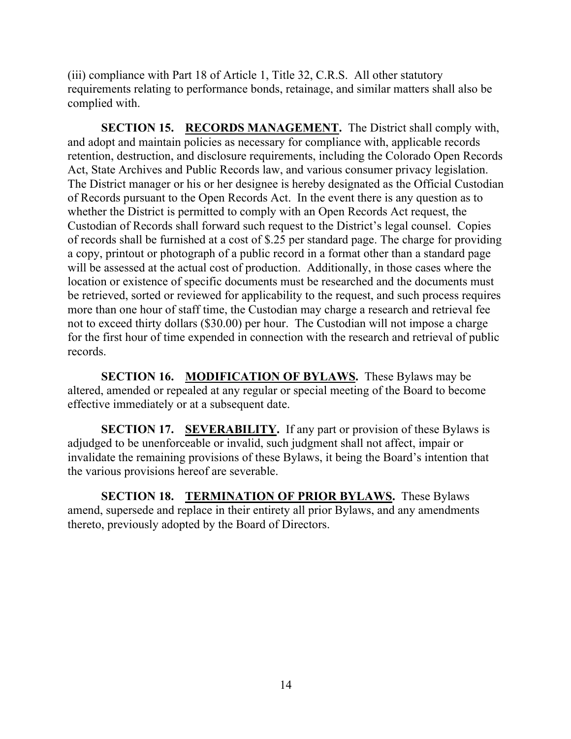(iii) compliance with Part 18 of Article 1, Title 32, C.R.S. All other statutory requirements relating to performance bonds, retainage, and similar matters shall also be complied with.

**SECTION 15. RECORDS MANAGEMENT.** The District shall comply with, and adopt and maintain policies as necessary for compliance with, applicable records retention, destruction, and disclosure requirements, including the Colorado Open Records Act, State Archives and Public Records law, and various consumer privacy legislation. The District manager or his or her designee is hereby designated as the Official Custodian of Records pursuant to the Open Records Act. In the event there is any question as to whether the District is permitted to comply with an Open Records Act request, the Custodian of Records shall forward such request to the District's legal counsel. Copies of records shall be furnished at a cost of \$.25 per standard page. The charge for providing a copy, printout or photograph of a public record in a format other than a standard page will be assessed at the actual cost of production. Additionally, in those cases where the location or existence of specific documents must be researched and the documents must be retrieved, sorted or reviewed for applicability to the request, and such process requires more than one hour of staff time, the Custodian may charge a research and retrieval fee not to exceed thirty dollars (\$30.00) per hour. The Custodian will not impose a charge for the first hour of time expended in connection with the research and retrieval of public records.

**SECTION 16. MODIFICATION OF BYLAWS.** These Bylaws may be altered, amended or repealed at any regular or special meeting of the Board to become effective immediately or at a subsequent date.

**SECTION 17. SEVERABILITY.** If any part or provision of these Bylaws is adjudged to be unenforceable or invalid, such judgment shall not affect, impair or invalidate the remaining provisions of these Bylaws, it being the Board's intention that the various provisions hereof are severable.

**SECTION 18. TERMINATION OF PRIOR BYLAWS.** These Bylaws amend, supersede and replace in their entirety all prior Bylaws, and any amendments thereto, previously adopted by the Board of Directors.